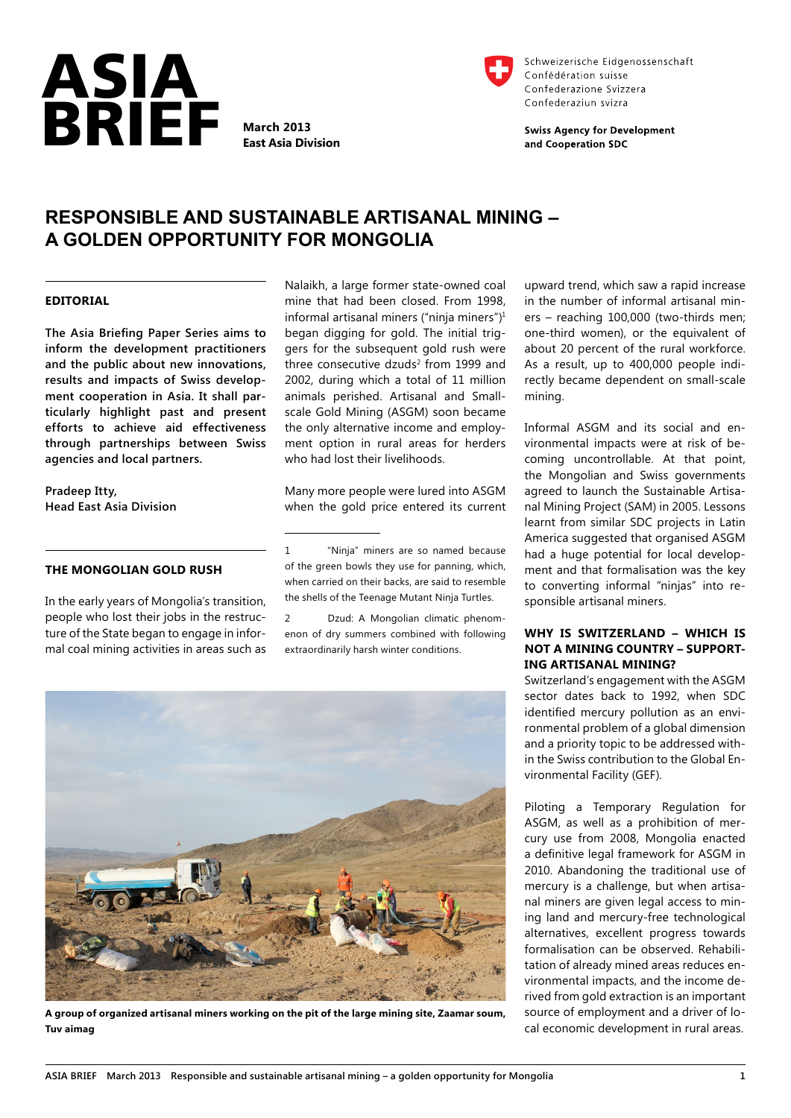

**East Asia Division**



Schweizerische Eidgenossenschaft Confédération suisse Confederazione Svizzera Confederaziun svizra

**Swiss Agency for Development** and Cooperation SDC

# **RESPONSIBLE AND SUSTAINABLE ARTISANAL MINING – A GOLDEN OPPORTUNITY FOR MONGOLIA**

### **EDITORIAL**

**The Asia Briefing Paper Series aims to inform the development practitioners and the public about new innovations, results and impacts of Swiss development cooperation in Asia. It shall particularly highlight past and present efforts to achieve aid effectiveness through partnerships between Swiss agencies and local partners.**

**Pradeep Itty, Head East Asia Division**

#### **THE MONGOLIAN GOLD RUSH**

In the early years of Mongolia's transition, people who lost their jobs in the restructure of the State began to engage in informal coal mining activities in areas such as Nalaikh, a large former state-owned coal mine that had been closed. From 1998, informal artisanal miners ("ninja miners")1 began digging for gold. The initial triggers for the subsequent gold rush were three consecutive dzuds<sup>2</sup> from 1999 and 2002, during which a total of 11 million animals perished. Artisanal and Smallscale Gold Mining (ASGM) soon became the only alternative income and employment option in rural areas for herders who had lost their livelihoods.

Many more people were lured into ASGM when the gold price entered its current

1 "Ninja" miners are so named because of the green bowls they use for panning, which, when carried on their backs, are said to resemble the shells of the Teenage Mutant Ninja Turtles.

2 Dzud: A Mongolian climatic phenomenon of dry summers combined with following extraordinarily harsh winter conditions.



**A group of organized artisanal miners working on the pit of the large mining site, Zaamar soum, Tuv aimag**

upward trend, which saw a rapid increase in the number of informal artisanal miners – reaching 100,000 (two-thirds men; one-third women), or the equivalent of about 20 percent of the rural workforce. As a result, up to 400,000 people indirectly became dependent on small-scale mining.

Informal ASGM and its social and environmental impacts were at risk of becoming uncontrollable. At that point, the Mongolian and Swiss governments agreed to launch the Sustainable Artisanal Mining Project (SAM) in 2005. Lessons learnt from similar SDC projects in Latin America suggested that organised ASGM had a huge potential for local development and that formalisation was the key to converting informal "ninjas" into responsible artisanal miners.

# **WHY IS SWITZERLAND – WHICH IS NOT A MINING COUNTRY – SUPPORT-ING ARTISANAL MINING?**

Switzerland's engagement with the ASGM sector dates back to 1992, when SDC identified mercury pollution as an environmental problem of a global dimension and a priority topic to be addressed within the Swiss contribution to the Global Environmental Facility (GEF).

Piloting a Temporary Regulation for ASGM, as well as a prohibition of mercury use from 2008, Mongolia enacted a definitive legal framework for ASGM in 2010. Abandoning the traditional use of mercury is a challenge, but when artisanal miners are given legal access to mining land and mercury-free technological alternatives, excellent progress towards formalisation can be observed. Rehabilitation of already mined areas reduces environmental impacts, and the income derived from gold extraction is an important source of employment and a driver of local economic development in rural areas.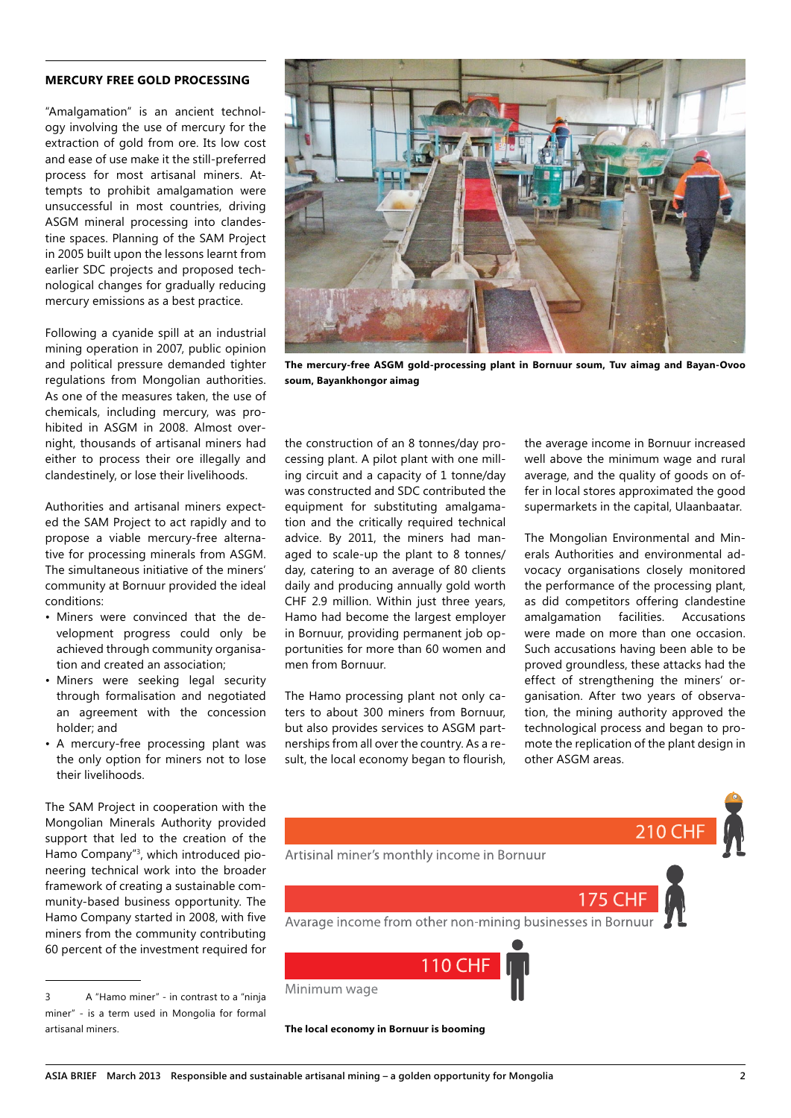# **MERCURY FREE GOLD PROCESSING**

"Amalgamation" is an ancient technology involving the use of mercury for the extraction of gold from ore. Its low cost and ease of use make it the still-preferred process for most artisanal miners. Attempts to prohibit amalgamation were unsuccessful in most countries, driving ASGM mineral processing into clandestine spaces. Planning of the SAM Project in 2005 built upon the lessons learnt from earlier SDC projects and proposed technological changes for gradually reducing mercury emissions as a best practice.

Following a cyanide spill at an industrial mining operation in 2007, public opinion and political pressure demanded tighter regulations from Mongolian authorities. As one of the measures taken, the use of chemicals, including mercury, was prohibited in ASGM in 2008. Almost overnight, thousands of artisanal miners had either to process their ore illegally and clandestinely, or lose their livelihoods.

Authorities and artisanal miners expected the SAM Project to act rapidly and to propose a viable mercury-free alternative for processing minerals from ASGM. The simultaneous initiative of the miners' community at Bornuur provided the ideal conditions:

- Miners were convinced that the development progress could only be achieved through community organisation and created an association;
- Miners were seeking legal security through formalisation and negotiated an agreement with the concession holder; and
- A mercury-free processing plant was the only option for miners not to lose their livelihoods.

The SAM Project in cooperation with the Mongolian Minerals Authority provided support that led to the creation of the Hamo Company"3 , which introduced pioneering technical work into the broader framework of creating a sustainable community-based business opportunity. The Hamo Company started in 2008, with five miners from the community contributing 60 percent of the investment required for



**The mercury-free ASGM gold-processing plant in Bornuur soum, Tuv aimag and Bayan-Ovoo soum, Bayankhongor aimag**

the construction of an 8 tonnes/day processing plant. A pilot plant with one milling circuit and a capacity of 1 tonne/day was constructed and SDC contributed the equipment for substituting amalgamation and the critically required technical advice. By 2011, the miners had managed to scale-up the plant to 8 tonnes/ day, catering to an average of 80 clients daily and producing annually gold worth CHF 2.9 million. Within just three years, Hamo had become the largest employer in Bornuur, providing permanent job opportunities for more than 60 women and men from Bornuur.

The Hamo processing plant not only caters to about 300 miners from Bornuur, but also provides services to ASGM partnerships from all over the country. As a result, the local economy began to flourish, the average income in Bornuur increased well above the minimum wage and rural average, and the quality of goods on offer in local stores approximated the good supermarkets in the capital, Ulaanbaatar.

The Mongolian Environmental and Minerals Authorities and environmental advocacy organisations closely monitored the performance of the processing plant, as did competitors offering clandestine amalgamation facilities. Accusations were made on more than one occasion. Such accusations having been able to be proved groundless, these attacks had the effect of strengthening the miners' organisation. After two years of observation, the mining authority approved the technological process and began to promote the replication of the plant design in other ASGM areas.



**The local economy in Bornuur is booming**

<sup>3</sup> A "Hamo miner" - in contrast to a "ninja miner" - is a term used in Mongolia for formal artisanal miners.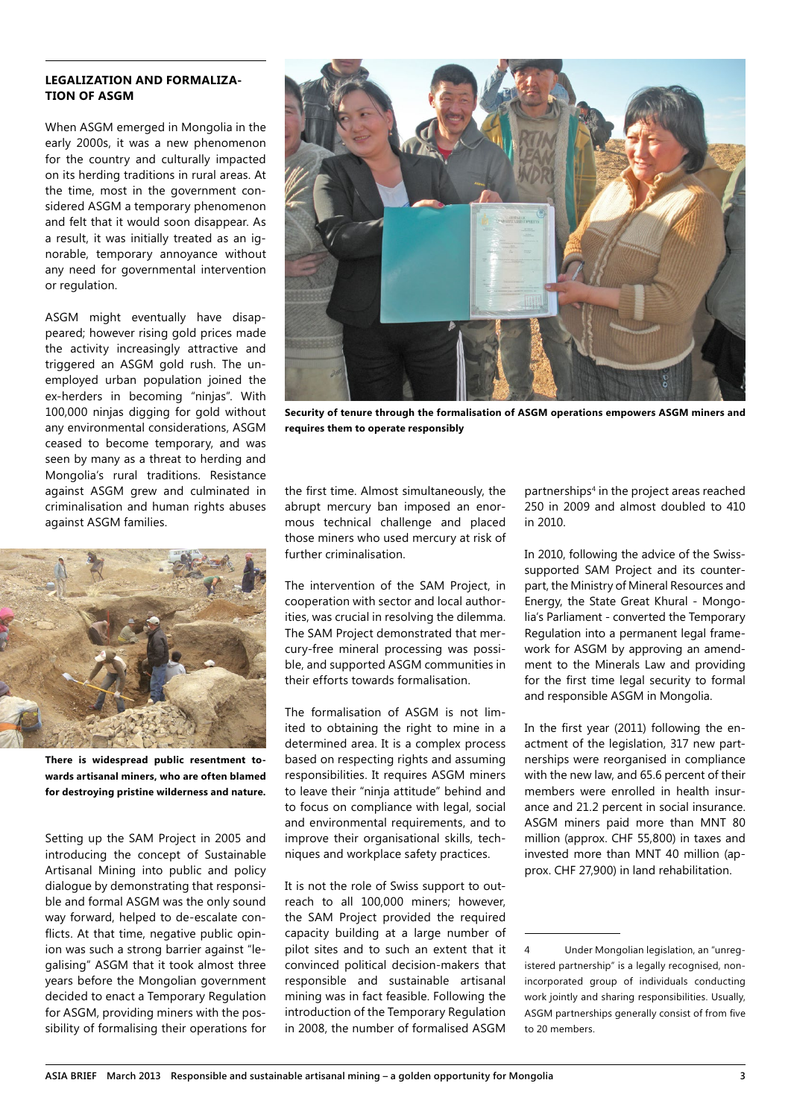# **LEGALIZATION AND FORMALIZA-TION OF ASGM**

When ASGM emerged in Mongolia in the early 2000s, it was a new phenomenon for the country and culturally impacted on its herding traditions in rural areas. At the time, most in the government considered ASGM a temporary phenomenon and felt that it would soon disappear. As a result, it was initially treated as an ignorable, temporary annoyance without any need for governmental intervention or regulation.

ASGM might eventually have disappeared; however rising gold prices made the activity increasingly attractive and triggered an ASGM gold rush. The unemployed urban population joined the ex-herders in becoming "ninjas". With 100,000 ninjas digging for gold without any environmental considerations, ASGM ceased to become temporary, and was seen by many as a threat to herding and Mongolia's rural traditions. Resistance against ASGM grew and culminated in criminalisation and human rights abuses against ASGM families.



**There is widespread public resentment towards artisanal miners, who are often blamed for destroying pristine wilderness and nature.**

Setting up the SAM Project in 2005 and introducing the concept of Sustainable Artisanal Mining into public and policy dialogue by demonstrating that responsible and formal ASGM was the only sound way forward, helped to de-escalate conflicts. At that time, negative public opinion was such a strong barrier against "legalising" ASGM that it took almost three years before the Mongolian government decided to enact a Temporary Regulation for ASGM, providing miners with the possibility of formalising their operations for



**Security of tenure through the formalisation of ASGM operations empowers ASGM miners and requires them to operate responsibly**

the first time. Almost simultaneously, the abrupt mercury ban imposed an enormous technical challenge and placed those miners who used mercury at risk of further criminalisation.

The intervention of the SAM Project, in cooperation with sector and local authorities, was crucial in resolving the dilemma. The SAM Project demonstrated that mercury-free mineral processing was possible, and supported ASGM communities in their efforts towards formalisation.

The formalisation of ASGM is not limited to obtaining the right to mine in a determined area. It is a complex process based on respecting rights and assuming responsibilities. It requires ASGM miners to leave their "ninja attitude" behind and to focus on compliance with legal, social and environmental requirements, and to improve their organisational skills, techniques and workplace safety practices.

It is not the role of Swiss support to outreach to all 100,000 miners; however, the SAM Project provided the required capacity building at a large number of pilot sites and to such an extent that it convinced political decision-makers that responsible and sustainable artisanal mining was in fact feasible. Following the introduction of the Temporary Regulation in 2008, the number of formalised ASGM

partnerships4 in the project areas reached 250 in 2009 and almost doubled to 410 in 2010.

In 2010, following the advice of the Swisssupported SAM Project and its counterpart, the Ministry of Mineral Resources and Energy, the State Great Khural - Mongolia's Parliament - converted the Temporary Regulation into a permanent legal framework for ASGM by approving an amendment to the Minerals Law and providing for the first time legal security to formal and responsible ASGM in Mongolia.

In the first year (2011) following the enactment of the legislation, 317 new partnerships were reorganised in compliance with the new law, and 65.6 percent of their members were enrolled in health insurance and 21.2 percent in social insurance. ASGM miners paid more than MNT 80 million (approx. CHF 55,800) in taxes and invested more than MNT 40 million (approx. CHF 27,900) in land rehabilitation.

<sup>4</sup> Under Mongolian legislation, an "unregistered partnership" is a legally recognised, nonincorporated group of individuals conducting work jointly and sharing responsibilities. Usually, ASGM partnerships generally consist of from five to 20 members.